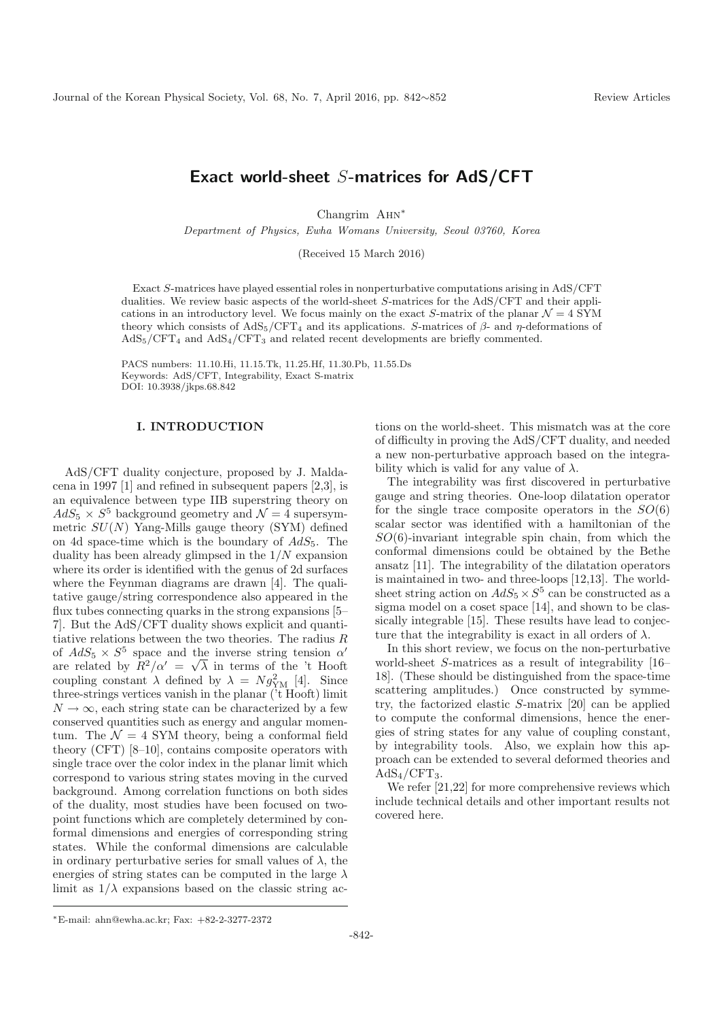# **Exact world-sheet** S**-matrices for AdS/CFT**

Changrim Ahn<sup>∗</sup>

Department of Physics, Ewha Womans University, Seoul 03760, Korea

(Received 15 March 2016)

Exact S-matrices have played essential roles in nonperturbative computations arising in AdS/CFT dualities. We review basic aspects of the world-sheet S-matrices for the AdS/CFT and their applications in an introductory level. We focus mainly on the exact S-matrix of the planar  $\mathcal{N} = 4$  SYM theory which consists of  $AdS_5/CFT_4$  and its applications. S-matrices of  $\beta$ - and  $\eta$ -deformations of  $AdS_5/CFT_4$  and  $AdS_4/CFT_3$  and related recent developments are briefly commented.

PACS numbers: 11.10.Hi, 11.15.Tk, 11.25.Hf, 11.30.Pb, 11.55.Ds Keywords: AdS/CFT, Integrability, Exact S-matrix DOI: 10.3938/jkps.68.842

# **I. INTRODUCTION**

AdS/CFT duality conjecture, proposed by J. Maldacena in 1997 [1] and refined in subsequent papers [2,3], is an equivalence between type IIB superstring theory on  $AdS_5 \times S^5$  background geometry and  $\mathcal{N}=4$  supersymmetric  $SU(N)$  Yang-Mills gauge theory (SYM) defined on 4d space-time which is the boundary of  $AdS_5$ . The duality has been already glimpsed in the  $1/N$  expansion where its order is identified with the genus of 2d surfaces where the Feynman diagrams are drawn [4]. The qualitative gauge/string correspondence also appeared in the flux tubes connecting quarks in the strong expansions [5– 7]. But the AdS/CFT duality shows explicit and quantitiative relations between the two theories. The radius R of  $AdS_5 \times S^5$  space and the inverse string tension  $\alpha'$ are related by  $R^2/\alpha' = \sqrt{\lambda}$  in terms of the 't Hooft coupling constant  $\lambda$  defined by  $\lambda = N g_{\text{YM}}^2$  [4]. Since three-strings vertices vanish in the planar ('t Hooft) limit  $N \to \infty$ , each string state can be characterized by a few conserved quantities such as energy and angular momentum. The  $\mathcal{N} = 4$  SYM theory, being a conformal field theory (CFT) [8–10], contains composite operators with single trace over the color index in the planar limit which correspond to various string states moving in the curved background. Among correlation functions on both sides of the duality, most studies have been focused on twopoint functions which are completely determined by conformal dimensions and energies of corresponding string states. While the conformal dimensions are calculable in ordinary perturbative series for small values of  $\lambda$ , the energies of string states can be computed in the large  $\lambda$ limit as  $1/\lambda$  expansions based on the classic string actions on the world-sheet. This mismatch was at the core of difficulty in proving the AdS/CFT duality, and needed a new non-perturbative approach based on the integrability which is valid for any value of  $\lambda$ .

The integrability was first discovered in perturbative gauge and string theories. One-loop dilatation operator for the single trace composite operators in the  $SO(6)$ scalar sector was identified with a hamiltonian of the  $SO(6)$ -invariant integrable spin chain, from which the conformal dimensions could be obtained by the Bethe ansatz [11]. The integrability of the dilatation operators is maintained in two- and three-loops [12,13]. The worldsheet string action on  $AdS_5 \times S^5$  can be constructed as a sigma model on a coset space [14], and shown to be classically integrable [15]. These results have lead to conjecture that the integrability is exact in all orders of  $\lambda$ .

In this short review, we focus on the non-perturbative world-sheet S-matrices as a result of integrability [16– 18]. (These should be distinguished from the space-time scattering amplitudes.) Once constructed by symmetry, the factorized elastic S-matrix [20] can be applied to compute the conformal dimensions, hence the energies of string states for any value of coupling constant, by integrability tools. Also, we explain how this approach can be extended to several deformed theories and  $AdS_4/CFT_3.$ 

We refer [21,22] for more comprehensive reviews which include technical details and other important results not covered here.

<sup>∗</sup>E-mail: ahn@ewha.ac.kr; Fax: +82-2-3277-2372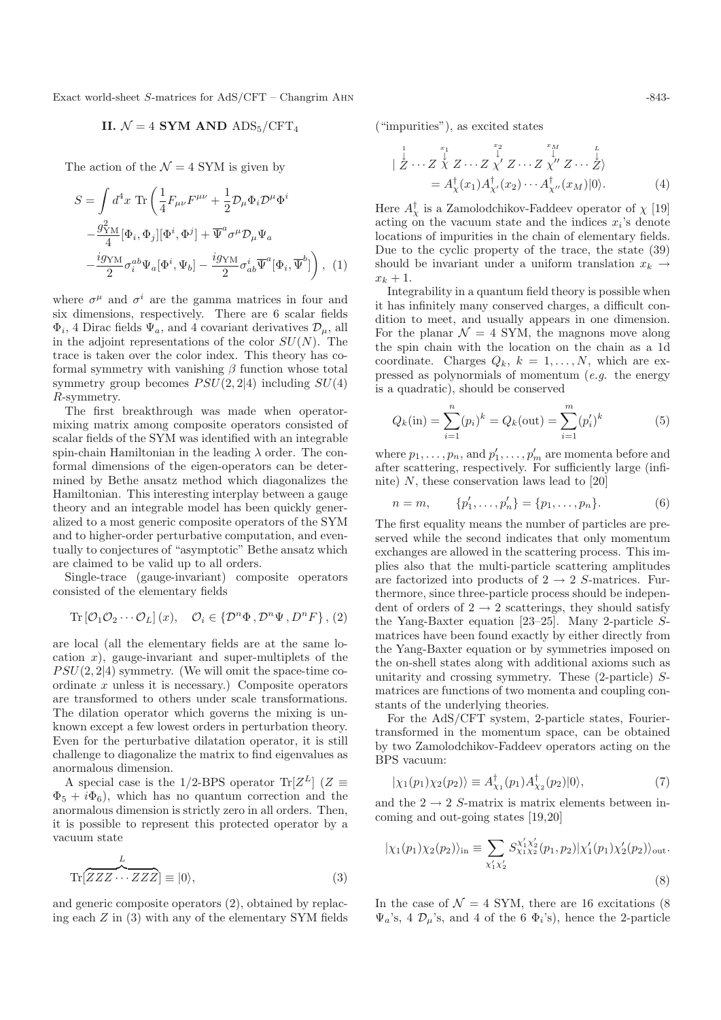Exact world-sheet S-matrices for AdS/CFT – Changrim AHN  $-843-843$ 

II. 
$$
\mathcal{N} = 4
$$
 SYM AND ADS<sub>5</sub>/CFT<sub>4</sub>

The action of the  $\mathcal{N} = 4$  SYM is given by

$$
S = \int d^4x \operatorname{Tr} \left( \frac{1}{4} F_{\mu\nu} F^{\mu\nu} + \frac{1}{2} \mathcal{D}_{\mu} \Phi_i \mathcal{D}^{\mu} \Phi^i \right. \left. - \frac{g_{\rm YM}^2}{4} [\Phi_i, \Phi_j] [\Phi^i, \Phi^j] + \overline{\Psi}^a \sigma^{\mu} \mathcal{D}_{\mu} \Psi_a \right. \left. - \frac{ig_{\rm YM}}{2} \sigma_i^{ab} \Psi_a [\Phi^i, \Psi_b] - \frac{ig_{\rm YM}}{2} \sigma_{ab}^i \overline{\Psi}^a [\Phi_i, \overline{\Psi}^b] \right), (1)
$$

where  $\sigma^{\mu}$  and  $\sigma^{i}$  are the gamma matrices in four and six dimensions, respectively. There are 6 scalar fields  $\Phi_i$ , 4 Dirac fields  $\Psi_a$ , and 4 covariant derivatives  $\mathcal{D}_{\mu}$ , all in the adjoint representations of the color  $SU(N)$ . The trace is taken over the color index. This theory has coformal symmetry with vanishing  $\beta$  function whose total symmetry group becomes  $PSU(2, 2|4)$  including  $SU(4)$ R-symmetry.

The first breakthrough was made when operatormixing matrix among composite operators consisted of scalar fields of the SYM was identified with an integrable spin-chain Hamiltonian in the leading  $\lambda$  order. The conformal dimensions of the eigen-operators can be determined by Bethe ansatz method which diagonalizes the Hamiltonian. This interesting interplay between a gauge theory and an integrable model has been quickly generalized to a most generic composite operators of the SYM and to higher-order perturbative computation, and eventually to conjectures of "asymptotic" Bethe ansatz which are claimed to be valid up to all orders.

Single-trace (gauge-invariant) composite operators consisted of the elementary fields

Tr 
$$
[\mathcal{O}_1 \mathcal{O}_2 \cdots \mathcal{O}_L](x)
$$
,  $\mathcal{O}_i \in \{\mathcal{D}^n \Phi, \mathcal{D}^n \Psi, D^n F\}$ , (2)

are local (all the elementary fields are at the same location  $x$ ), gauge-invariant and super-multiplets of the  $PSU(2, 2|4)$  symmetry. (We will omit the space-time coordinate  $x$  unless it is necessary.) Composite operators are transformed to others under scale transformations. The dilation operator which governs the mixing is unknown except a few lowest orders in perturbation theory. Even for the perturbative dilatation operator, it is still challenge to diagonalize the matrix to find eigenvalues as anormalous dimension.

A special case is the 1/2-BPS operator Tr[ $Z^L$ ] ( $Z \equiv$  $\Phi_5 + i \Phi_6$ , which has no quantum correction and the anormalous dimension is strictly zero in all orders. Then, it is possible to represent this protected operator by a vacuum state

$$
\text{Tr}\left[\overline{ZZZ\cdots ZZZ}\right] \equiv |0\rangle,\tag{3}
$$

and generic composite operators (2), obtained by replacing each Z in (3) with any of the elementary SYM fields ("impurities"), as excited states

|

$$
\frac{1}{Z} \cdots Z \stackrel{x_1}{\stackrel{1}{X}} Z \cdots Z \stackrel{x_2}{\stackrel{1}{X'}} Z \cdots Z \stackrel{x_M}{\stackrel{1}{X''}} Z \cdots Z \stackrel{L}{\stackrel{1}{X''}} \cdots \stackrel{L}{Z'}
$$
\n
$$
= A_X^{\dagger}(x_1) A_{X'}^{\dagger}(x_2) \cdots A_{X''}^{\dagger}(x_M)|0\rangle. \tag{4}
$$

Here  $A^{\dagger}_{\chi}$  is a Zamolodchikov-Faddeev operator of  $\chi$  [19] acting on the vacuum state and the indices x,'s denote acting on the vacuum state and the indices  $x_i$ 's denote locations of impurities in the chain of elementary fields. Due to the cyclic property of the trace, the state (39) should be invariant under a uniform translation  $x_k \rightarrow$  $x_k + 1$ .

Integrability in a quantum field theory is possible when it has infinitely many conserved charges, a difficult condition to meet, and usually appears in one dimension. For the planar  $\mathcal{N} = 4$  SYM, the magnons move along the spin chain with the location on the chain as a 1d coordinate. Charges  $Q_k$ ,  $k = 1, \ldots, N$ , which are expressed as polynormials of momentum  $(e.g.$  the energy is a quadratic), should be conserved

$$
Q_k(\text{in}) = \sum_{i=1}^n (p_i)^k = Q_k(\text{out}) = \sum_{i=1}^m (p_i')^k
$$
 (5)

where  $p_1, \ldots, p_n$ , and  $p'_1, \ldots, p'_m$  are momenta before and after scattering respectively. For sufficiently large (infiafter scattering, respectively. For sufficiently large (infinite)  $N$ , these conservation laws lead to [20]

$$
n = m, \qquad \{p'_1, \dots, p'_n\} = \{p_1, \dots, p_n\}.
$$
 (6)

The first equality means the number of particles are preserved while the second indicates that only momentum exchanges are allowed in the scattering process. This implies also that the multi-particle scattering amplitudes are factorized into products of  $2 \rightarrow 2$  S-matrices. Furthermore, since three-particle process should be independent of orders of  $2 \rightarrow 2$  scatterings, they should satisfy the Yang-Baxter equation [23–25]. Many 2-particle Smatrices have been found exactly by either directly from the Yang-Baxter equation or by symmetries imposed on the on-shell states along with additional axioms such as unitarity and crossing symmetry. These (2-particle) Smatrices are functions of two momenta and coupling constants of the underlying theories.

For the AdS/CFT system, 2-particle states, Fouriertransformed in the momentum space, can be obtained by two Zamolodchikov-Faddeev operators acting on the BPS vacuum:

$$
|\chi_1(p_1)\chi_2(p_2)\rangle \equiv A_{\chi_1}^{\dagger}(p_1)A_{\chi_2}^{\dagger}(p_2)|0\rangle,\tag{7}
$$

and the  $2 \rightarrow 2$  S-matrix is matrix elements between incoming and out-going states [19,20]

$$
|\chi_1(p_1)\chi_2(p_2)\rangle_{\text{in}} \equiv \sum_{\chi_1'\chi_2'} S_{\chi_1\chi_2'}^{\chi_1'\chi_2'}(p_1,p_2)|\chi_1'(p_1)\chi_2'(p_2)\rangle_{\text{out}}.
$$
\n(8)

In the case of  $\mathcal{N} = 4$  SYM, there are 16 excitations (8)  $\Psi_a$ 's, 4  $\mathcal{D}_{\mu}$ 's, and 4 of the 6  $\Phi_i$ 's), hence the 2-particle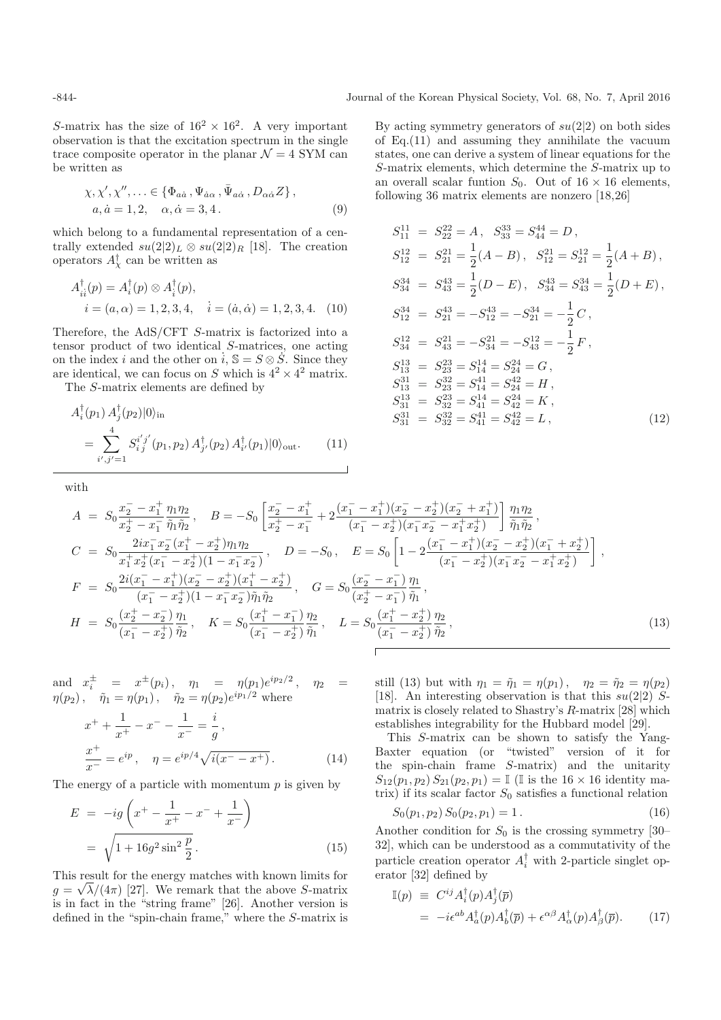S-matrix has the size of  $16^2 \times 16^2$ . A very important observation is that the excitation spectrum in the single trace composite operator in the planar  $\mathcal{N} = 4$  SYM can be written as

$$
\chi, \chi', \chi'', \ldots \in \{\Phi_{a\dot{a}}, \Psi_{\dot{a}\alpha}, \bar{\Psi}_{a\dot{\alpha}}, D_{\alpha\dot{\alpha}} Z\},
$$
  
\n
$$
a, \dot{a} = 1, 2, \quad \alpha, \dot{\alpha} = 3, 4.
$$
\n(9)

which belong to a fundamental representation of a centrally extended  $su(2|2)_L \otimes su(2|2)_R$  [18]. The creation operators  $A^{\dagger}_{\chi}$  can be written as

$$
A_{ii}^{\dagger}(p) = A_i^{\dagger}(p) \otimes A_i^{\dagger}(p),
$$
  
\n $i = (a, \alpha) = 1, 2, 3, 4, \quad i = (\dot{a}, \dot{\alpha}) = 1, 2, 3, 4.$  (10)

Therefore, the AdS/CFT S-matrix is factorized into a tensor product of two identical S-matrices, one acting on the index i and the other on  $i, S = S \otimes S$ . Since they are identical, we can focus on S which is  $4^2 \times 4^2$  matrix.

The S-matrix elements are defined by

$$
A_i^{\dagger}(p_1) A_j^{\dagger}(p_2) |0\rangle_{\text{in}}
$$
  
= 
$$
\sum_{i',j'=1}^4 S_{i,j}^{i'j'}(p_1, p_2) A_{j'}^{\dagger}(p_2) A_{i'}^{\dagger}(p_1) |0\rangle_{\text{out}}.
$$
 (11)

with

By acting symmetry generators of 
$$
su(2|2)
$$
 on both sides  
of Eq.(11) and assuming they annihilate the vacuum  
states, one can derive a system of linear equations for the  
S-matrix elements, which determine the S-matrix up to  
an overall scalar function  $S_0$ . Out of 16 × 16 elements,  
following 36 matrix elements are nonzero [18,26]

$$
S_{11}^{11} = S_{22}^{22} = A, S_{33}^{33} = S_{44}^{44} = D,
$$
  
\n
$$
S_{12}^{12} = S_{21}^{21} = \frac{1}{2}(A - B), S_{12}^{21} = S_{21}^{12} = \frac{1}{2}(A + B),
$$
  
\n
$$
S_{34}^{34} = S_{43}^{43} = \frac{1}{2}(D - E), S_{34}^{43} = S_{43}^{34} = \frac{1}{2}(D + E),
$$
  
\n
$$
S_{12}^{34} = S_{21}^{43} = -S_{12}^{43} = -S_{21}^{34} = -\frac{1}{2}C,
$$
  
\n
$$
S_{34}^{12} = S_{43}^{21} = -S_{34}^{21} = -S_{43}^{12} = -\frac{1}{2}F,
$$
  
\n
$$
S_{13}^{13} = S_{23}^{23} = S_{14}^{14} = S_{24}^{24} = G,
$$
  
\n
$$
S_{13}^{31} = S_{23}^{32} = S_{14}^{41} = S_{24}^{42} = H,
$$
  
\n
$$
S_{31}^{31} = S_{32}^{32} = S_{41}^{41} = S_{42}^{24} = K,
$$
  
\n
$$
S_{31}^{31} = S_{32}^{32} = S_{41}^{41} = S_{42}^{42} = L,
$$
  
\n(12)

$$
A = S_0 \frac{x_2^- - x_1^+}{x_2^+ - x_1^-} \frac{\eta_1 \eta_2}{\tilde{\eta}_1 \tilde{\eta}_2}, \quad B = -S_0 \left[ \frac{x_2^- - x_1^+}{x_2^+ - x_1^-} + 2 \frac{(x_1^- - x_1^+)(x_2^- - x_2^+)(x_2^- + x_1^+)}{(x_1^- - x_2^+)(x_1^- x_2^- - x_1^+ x_2^+)} \right] \frac{\eta_1 \eta_2}{\tilde{\eta}_1 \tilde{\eta}_2},
$$
  
\n
$$
C = S_0 \frac{2ix_1^- x_2^- (x_1^+ - x_2^+)\eta_1 \eta_2}{x_1^+ x_2^+ (x_1^- - x_2^+)(1 - x_1^- x_2^-)}, \quad D = -S_0, \quad E = S_0 \left[ 1 - 2 \frac{(x_1^- - x_1^+)(x_2^- - x_2^+)(x_1^- + x_2^+)}{(x_1^- - x_2^+)(x_1^- x_2^- - x_1^+ x_2^+)} \right],
$$
  
\n
$$
F = S_0 \frac{2i(x_1^- - x_1^+)(x_2^- - x_2^+)(x_1^+ - x_2^+)}{(x_1^- - x_2^+)(1 - x_1^- x_2^-)\tilde{\eta}_1 \tilde{\eta}_2}, \quad G = S_0 \frac{(x_2^- - x_1^-)}{(x_2^+ - x_1^-)} \frac{\eta_1}{\tilde{\eta}_1},
$$
  
\n
$$
H = S_0 \frac{(x_2^+ - x_2^-)}{(x_1^- - x_2^+)} \frac{\eta_1}{\tilde{\eta}_2}, \quad K = S_0 \frac{(x_1^+ - x_1^-)}{(x_1^- - x_2^+)} \frac{\eta_2}{\tilde{\eta}_1}, \quad L = S_0 \frac{(x_1^+ - x_2^+)}{(x_1^- - x_2^+)} \frac{\eta_2}{\tilde{\eta}_2},
$$
  
\n(13)

and  $x_i^{\pm} = x^{\pm}(p_i), \quad \eta_1 = \eta(p_1)e^{ip_2/2}, \quad \eta_2 = \eta(p_2), \quad \tilde{\eta}_1 = \eta(p_1), \quad \tilde{\eta}_2 = \eta(p_2)e^{ip_1/2}$  where

$$
x^{+} + \frac{1}{x^{+}} - x^{-} - \frac{1}{x^{-}} = \frac{i}{g},
$$
  
\n
$$
\frac{x^{+}}{x^{-}} = e^{ip}, \quad \eta = e^{ip/4} \sqrt{i(x^{-} - x^{+})}.
$$
 (14)

The energy of a particle with momentum  $p$  is given by

$$
E = -ig\left(x^{+} - \frac{1}{x^{+}} - x^{-} + \frac{1}{x^{-}}\right)
$$

$$
= \sqrt{1 + 16g^{2} \sin^{2} \frac{p}{2}}.
$$
(15)

This result for the energy matches with known limits for  $g = \sqrt{\lambda}/(4\pi)$  [27]. We remark that the above S-matrix is in fact in the "string frame" [26]. Another version is defined in the "spin-chain frame," where the S-matrix is still (13) but with  $\eta_1 = \tilde{\eta}_1 = \eta(p_1)$ ,  $\eta_2 = \tilde{\eta}_2 = \eta(p_2)$ [18]. An interesting observation is that this  $su(2|2)$  Smatrix is closely related to Shastry's R-matrix [28] which establishes integrability for the Hubbard model [29].

This S-matrix can be shown to satisfy the Yang-Baxter equation (or "twisted" version of it for the spin-chain frame S-matrix) and the unitarity  $S_{12}(p_1, p_2) S_{21}(p_2, p_1) = \mathbb{I}$  (I is the 16 × 16 identity matrix) if its scalar factor  $S_0$  satisfies a functional relation

$$
S_0(p_1, p_2) S_0(p_2, p_1) = 1.
$$
 (16)

Another condition for  $S_0$  is the crossing symmetry [30– 32], which can be understood as a commutativity of the particle creation operator  $A_i^{\dagger}$  with 2-particle singlet operator [32] defined by erator [32] defined by

$$
\mathbb{I}(p) \equiv C^{ij} A_i^{\dagger}(p) A_j^{\dagger}(\overline{p}) \n= -i \epsilon^{ab} A_a^{\dagger}(p) A_b^{\dagger}(\overline{p}) + \epsilon^{\alpha \beta} A_\alpha^{\dagger}(p) A_\beta^{\dagger}(\overline{p}).
$$
\n(17)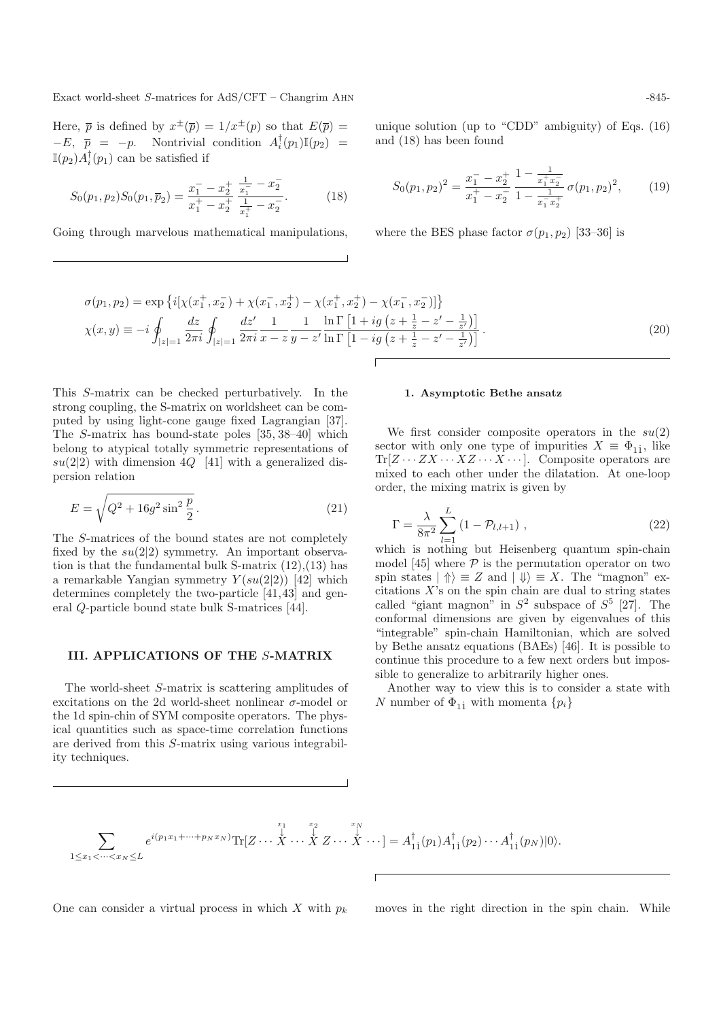Exact world-sheet S-matrices for AdS/CFT – Changrim AHN  $-845-$ 

Here,  $\bar{p}$  is defined by  $x^{\pm}(\bar{p})=1/x^{\pm}(p)$  so that  $E(\bar{p})=$  $-E, \bar{p} = -p.$  Nontrivial condition  $A_i^{\dagger}(p_1) \mathbb{I}(p_2) =$  $\mathbb{I}(p_2)A_i^{\dagger}(p_1)$  can be satisfied if

$$
S_0(p_1, p_2)S_0(p_1, \overline{p}_2) = \frac{x_1^- - x_2^+}{x_1^+ - x_2^+} \frac{\frac{1}{x_1^-} - x_2^-}{\frac{1}{x_1^+} - x_2^-}.
$$
 (18)

Going through marvelous mathematical manipulations,

unique solution (up to "CDD" ambiguity) of Eqs. (16) and (18) has been found

$$
S_0(p_1, p_2)^2 = \frac{x_1^- - x_2^+}{x_1^+ - x_2^-} \frac{1 - \frac{1}{x_1^+ x_2^-}}{1 - \frac{1}{x_1^- x_2^+}} \sigma(p_1, p_2)^2, \qquad (19)
$$

where the BES phase factor  $\sigma(p_1, p_2)$  [33–36] is

$$
\sigma(p_1, p_2) = \exp \left\{ i \left[ \chi(x_1^+, x_2^-) + \chi(x_1^-, x_2^+) - \chi(x_1^+, x_2^+) - \chi(x_1^-, x_2^-) \right] \right\}
$$
  
\n
$$
\chi(x, y) \equiv -i \oint_{|z|=1} \frac{dz}{2\pi i} \oint_{|z|=1} \frac{dz'}{2\pi i} \frac{1}{x - z} \frac{1}{y - z'} \frac{\ln \Gamma \left[ 1 + ig \left( z + \frac{1}{z} - z' - \frac{1}{z'} \right) \right]}{\ln \Gamma \left[ 1 - ig \left( z + \frac{1}{z} - z' - \frac{1}{z'} \right) \right]}.
$$
\n(20)

This S-matrix can be checked perturbatively. In the strong coupling, the S-matrix on worldsheet can be computed by using light-cone gauge fixed Lagrangian [37]. The S-matrix has bound-state poles [35, 38–40] which belong to atypical totally symmetric representations of  $su(2|2)$  with dimension  $4Q$  [41] with a generalized dispersion relation

$$
E = \sqrt{Q^2 + 16g^2 \sin^2 \frac{p}{2}}.
$$
\n(21)

The S-matrices of the bound states are not completely fixed by the  $su(2|2)$  symmetry. An important observation is that the fundamental bulk S-matrix (12),(13) has a remarkable Yangian symmetry  $Y(su(2|2))$  [42] which determines completely the two-particle [41,43] and general Q-particle bound state bulk S-matrices [44].

# **III. APPLICATIONS OF THE** S**-MATRIX**

The world-sheet S-matrix is scattering amplitudes of excitations on the 2d world-sheet nonlinear  $\sigma$ -model or the 1d spin-chin of SYM composite operators. The physical quantities such as space-time correlation functions are derived from this S-matrix using various integrability techniques.

#### **1. Asymptotic Bethe ansatz**

We first consider composite operators in the  $su(2)$ sector with only one type of impurities  $X \equiv \Phi_{11}$ , like  $Tr[Z\cdots ZX\cdots XZ\cdots X\cdots]$ . Composite operators are mixed to each other under the dilatation. At one-loop order, the mixing matrix is given by

$$
\Gamma = \frac{\lambda}{8\pi^2} \sum_{l=1}^{L} (1 - \mathcal{P}_{l,l+1}), \qquad (22)
$$

which is nothing but Heisenberg quantum spin-chain model [45] where  $P$  is the permutation operator on two spin states  $|\Uparrow\rangle \equiv Z$  and  $|\Downarrow\rangle \equiv X$ . The "magnon" excitations  $X$ 's on the spin chain are dual to string states called "giant magnon" in  $S^2$  subspace of  $S^5$  [27]. The conformal dimensions are given by eigenvalues of this "integrable" spin-chain Hamiltonian, which are solved by Bethe ansatz equations (BAEs) [46]. It is possible to continue this procedure to a few next orders but impossible to generalize to arbitrarily higher ones.

Another way to view this is to consider a state with N number of  $\Phi_{11}$  with momenta  $\{p_i\}$ 

$$
\sum_{1\leq x_1<\cdots
$$

One can consider a virtual process in which X with  $p_k$  moves in the right direction in the spin chain. While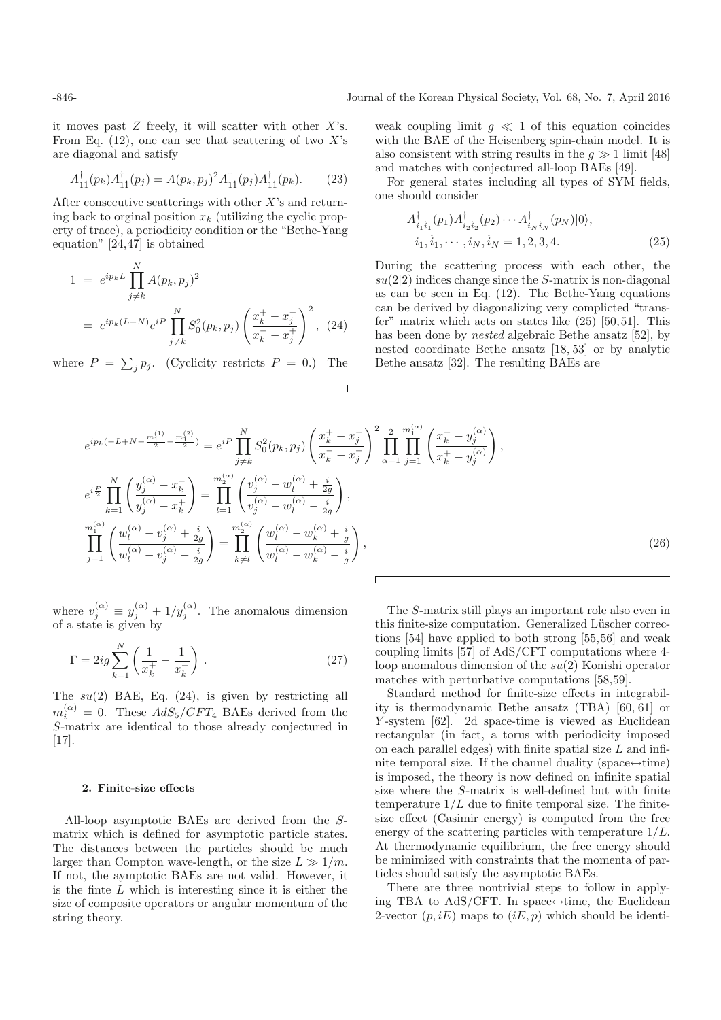it moves past  $Z$  freely, it will scatter with other  $X$ 's. From Eq.  $(12)$ , one can see that scattering of two X's are diagonal and satisfy

$$
A_{1i}^{\dagger}(p_k)A_{1i}^{\dagger}(p_j) = A(p_k, p_j)^2 A_{1i}^{\dagger}(p_j)A_{1i}^{\dagger}(p_k). \tag{23}
$$

After consecutive scatterings with other  $X$ 's and returning back to orginal position  $x_k$  (utilizing the cyclic property of trace), a periodicity condition or the "Bethe-Yang equation" [24,47] is obtained

$$
1 = e^{ip_k L} \prod_{j \neq k}^{N} A(p_k, p_j)^2
$$
  
=  $e^{ip_k (L-N)} e^{iP} \prod_{j \neq k}^{N} S_0^2(p_k, p_j) \left( \frac{x_k^+ - x_j^-}{x_k^- - x_j^+} \right)^2$ , (24)

where  $P = \sum_j p_j$ . (Cyclicity restricts  $P = 0$ .) The

weak coupling limit  $g \ll 1$  of this equation coincides with the BAE of the Heisenberg spin-chain model. It is also consistent with string results in the  $q \gg 1$  limit [48] and matches with conjectured all-loop BAEs [49].

For general states including all types of SYM fields, one should consider

$$
A_{i_1 i_1}^{\dagger}(p_1) A_{i_2 i_2}^{\dagger}(p_2) \cdots A_{i_N i_N}^{\dagger}(p_N) |0\rangle,
$$
  

$$
i_1, i_1, \cdots, i_N, i_N = 1, 2, 3, 4.
$$
 (25)

During the scattering process with each other, the  $su(2|2)$  indices change since the S-matrix is non-diagonal as can be seen in Eq. (12). The Bethe-Yang equations can be derived by diagonalizing very complicted "transfer" matrix which acts on states like  $(25)$  [50,51]. This has been done by nested algebraic Bethe ansatz [52], by nested coordinate Bethe ansatz [18, 53] or by analytic Bethe ansatz [32]. The resulting BAEs are

$$
e^{ip_k(-L+N-\frac{m_1^{(1)}}{2}-\frac{m_1^{(2)}}{2})} = e^{iP} \prod_{j\neq k}^N S_0^2(p_k, p_j) \left(\frac{x_k^+ - x_j^-}{x_k^- - x_j^+}\right)^2 \prod_{\alpha=1}^2 \prod_{j=1}^{m_1^{(\alpha)}} \left(\frac{x_k^- - y_j^{(\alpha)}}{x_k^+ - y_j^{(\alpha)}}\right),
$$
  
\n
$$
e^{i\frac{P}{2}} \prod_{k=1}^N \left(\frac{y_j^{(\alpha)} - x_k^-}{y_j^{(\alpha)} - x_k^+}\right) = \prod_{l=1}^{m_2^{(\alpha)}} \left(\frac{v_j^{(\alpha)} - w_l^{(\alpha)} + \frac{i}{2g}}{v_j^{(\alpha)} - w_l^{(\alpha)} - \frac{i}{2g}}\right),
$$
  
\n
$$
\prod_{j=1}^{m_1^{(\alpha)}} \left(\frac{w_l^{(\alpha)} - v_j^{(\alpha)} + \frac{i}{2g}}{w_l^{(\alpha)} - v_j^{(\alpha)} - \frac{i}{2g}}\right) = \prod_{k\neq l}^m \left(\frac{w_l^{(\alpha)} - w_k^{(\alpha)} + \frac{i}{g}}{w_l^{(\alpha)} - w_k^{(\alpha)} - \frac{i}{g}}\right),
$$
\n(26)

where  $v_j^{(\alpha)} \equiv y_j^{(\alpha)} + 1/y_j^{(\alpha)}$ . The anomalous dimension of a state is given by of a state is given by

$$
\Gamma = 2ig \sum_{k=1}^{N} \left( \frac{1}{x_k^+} - \frac{1}{x_k^-} \right). \tag{27}
$$

The  $su(2)$  BAE, Eq.  $(24)$ , is given by restricting all  $m_i^{(\alpha)} = 0$ . These  $AdS_5/CFT_4$  BAEs derived from the S-matrix are identical to those already conjectured in S-matrix are identical to those already conjectured in [17].

### **2. Finite-size effects**

All-loop asymptotic BAEs are derived from the Smatrix which is defined for asymptotic particle states. The distances between the particles should be much larger than Compton wave-length, or the size  $L \gg 1/m$ . If not, the aymptotic BAEs are not valid. However, it is the finte  $L$  which is interesting since it is either the size of composite operators or angular momentum of the string theory.

The S-matrix still plays an important role also even in this finite-size computation. Generalized Lüscher corrections [54] have applied to both strong [55,56] and weak coupling limits [57] of AdS/CFT computations where 4 loop anomalous dimension of the su(2) Konishi operator matches with perturbative computations [58,59].

Standard method for finite-size effects in integrability is thermodynamic Bethe ansatz (TBA) [60, 61] or Y -system [62]. 2d space-time is viewed as Euclidean rectangular (in fact, a torus with periodicity imposed on each parallel edges) with finite spatial size  $L$  and infinite temporal size. If the channel duality (space $\leftrightarrow$ time) is imposed, the theory is now defined on infinite spatial size where the S-matrix is well-defined but with finite temperature  $1/L$  due to finite temporal size. The finitesize effect (Casimir energy) is computed from the free energy of the scattering particles with temperature  $1/L$ . At thermodynamic equilibrium, the free energy should be minimized with constraints that the momenta of particles should satisfy the asymptotic BAEs.

There are three nontrivial steps to follow in applying TBA to AdS/CFT. In space $\leftrightarrow$ time, the Euclidean 2-vector  $(p, iE)$  maps to  $(iE, p)$  which should be identi-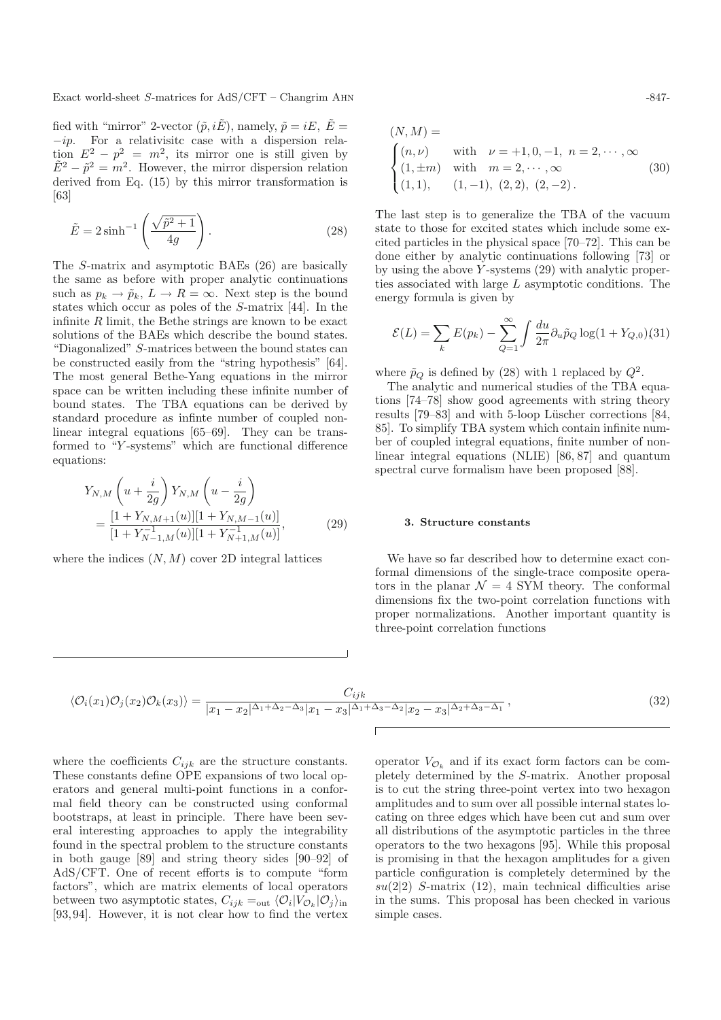Exact world-sheet S-matrices for AdS/CFT – Changrim AHN  $-847-847-847$ 

fied with "mirror" 2-vector  $(\tilde{p}, i\tilde{E})$ , namely,  $\tilde{p} = iE, \ \tilde{E} =$  $-ip.$  For a relativisite case with a dispersion relation  $E^2 - p^2 = m^2$ , its mirror one is still given by  $E^2 - \tilde{p}^2 = m^2$ . However, the mirror dispersion relation derived from Eq. (15) by this mirror transformation is [63]

$$
\tilde{E} = 2\sinh^{-1}\left(\frac{\sqrt{\tilde{p}^2 + 1}}{4g}\right). \tag{28}
$$

The S-matrix and asymptotic BAEs (26) are basically the same as before with proper analytic continuations such as  $p_k \to \tilde{p}_k$ ,  $L \to R = \infty$ . Next step is the bound states which occur as poles of the S-matrix [44]. In the infinite  $R$  limit, the Bethe strings are known to be exact solutions of the BAEs which describe the bound states. "Diagonalized" S-matrices between the bound states can be constructed easily from the "string hypothesis" [64]. The most general Bethe-Yang equations in the mirror space can be written including these infinite number of bound states. The TBA equations can be derived by standard procedure as infinte number of coupled nonlinear integral equations [65–69]. They can be transformed to "Y -systems" which are functional difference equations:

$$
Y_{N,M} \left( u + \frac{i}{2g} \right) Y_{N,M} \left( u - \frac{i}{2g} \right)
$$
  
= 
$$
\frac{[1 + Y_{N,M+1}(u)][1 + Y_{N,M-1}(u)]}{[1 + Y_{N-1,M}^{-1}(u)][1 + Y_{N+1,M}^{-1}(u)]},
$$
(29)

where the indices  $(N, M)$  cover 2D integral lattices

$$
(N, M) =
$$
  
\n
$$
\begin{cases}\n(n, \nu) & \text{with } \nu = +1, 0, -1, n = 2, \dots, \infty \\
(1, \pm m) & \text{with } m = 2, \dots, \infty \\
(1, 1), & (1, -1), (2, 2), (2, -2).\n\end{cases}
$$
\n(30)

The last step is to generalize the TBA of the vacuum state to those for excited states which include some excited particles in the physical space [70–72]. This can be done either by analytic continuations following [73] or by using the above  $Y$ -systems  $(29)$  with analytic properties associated with large  $L$  asymptotic conditions. The energy formula is given by

$$
\mathcal{E}(L) = \sum_{k} E(p_k) - \sum_{Q=1}^{\infty} \int \frac{du}{2\pi} \partial_u \tilde{p}_Q \log(1 + Y_{Q,0})(31)
$$

where  $\tilde{p}_Q$  is defined by (28) with 1 replaced by  $Q^2$ .

The analytic and numerical studies of the TBA equations [74–78] show good agreements with string theory results [79–83] and with 5-loop Lüscher corrections [84, 85]. To simplify TBA system which contain infinite number of coupled integral equations, finite number of nonlinear integral equations (NLIE) [86, 87] and quantum spectral curve formalism have been proposed [88].

#### **3. Structure constants**

We have so far described how to determine exact conformal dimensions of the single-trace composite operators in the planar  $\mathcal{N} = 4$  SYM theory. The conformal dimensions fix the two-point correlation functions with proper normalizations. Another important quantity is three-point correlation functions

$$
\langle \mathcal{O}_i(x_1)\mathcal{O}_j(x_2)\mathcal{O}_k(x_3)\rangle = \frac{C_{ijk}}{|x_1 - x_2|^{\Delta_1 + \Delta_2 - \Delta_3}|x_1 - x_3|^{\Delta_1 + \Delta_3 - \Delta_2}|x_2 - x_3|^{\Delta_2 + \Delta_3 - \Delta_1}},\tag{32}
$$

where the coefficients  $C_{ijk}$  are the structure constants. These constants define OPE expansions of two local operators and general multi-point functions in a conformal field theory can be constructed using conformal bootstraps, at least in principle. There have been several interesting approaches to apply the integrability found in the spectral problem to the structure constants in both gauge [89] and string theory sides [90–92] of AdS/CFT. One of recent efforts is to compute "form factors", which are matrix elements of local operators between two asymptotic states,  $C_{ijk} =_{\text{out}} \langle \mathcal{O}_i | V_{\mathcal{O}_k} | \mathcal{O}_j \rangle_{\text{in}}$ [93,94]. However, it is not clear how to find the vertex operator  $V_{\mathcal{O}_k}$  and if its exact form factors can be completely determined by the S-matrix. Another proposal is to cut the string three-point vertex into two hexagon amplitudes and to sum over all possible internal states locating on three edges which have been cut and sum over all distributions of the asymptotic particles in the three operators to the two hexagons [95]. While this proposal is promising in that the hexagon amplitudes for a given particle configuration is completely determined by the  $su(2|2)$  S-matrix (12), main technical difficulties arise in the sums. This proposal has been checked in various simple cases.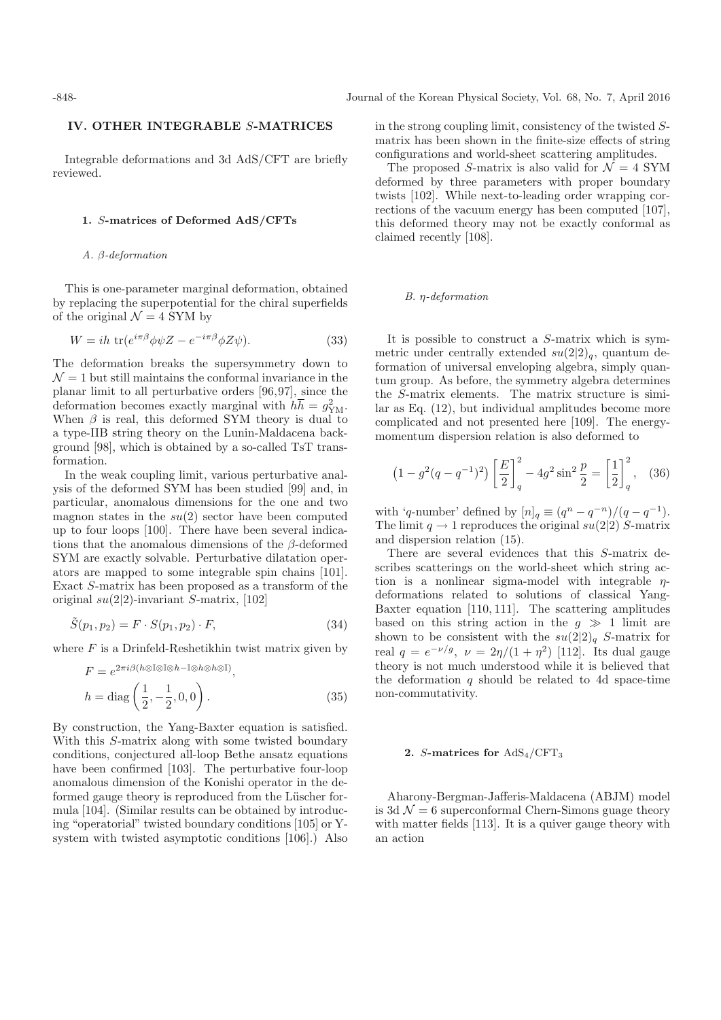# **IV. OTHER INTEGRABLE** S**-MATRICES**

Integrable deformations and 3d AdS/CFT are briefly reviewed.

### **1.** S**-matrices of Deformed AdS/CFTs**

### A. β-deformation

This is one-parameter marginal deformation, obtained by replacing the superpotential for the chiral superfields of the original  $\mathcal{N}=4$  SYM by

$$
W = i h \, \text{tr}(e^{i\pi\beta}\phi\psi Z - e^{-i\pi\beta}\phi Z\psi). \tag{33}
$$

The deformation breaks the supersymmetry down to  $\mathcal{N}=1$  but still maintains the conformal invariance in the planar limit to all perturbative orders [96,97], since the deformation becomes exactly marginal with  $h\overline{h} = g_{\text{YM}}^2$ . When  $\beta$  is real, this deformed SYM theory is dual to a type-IIB string theory on the Lunin-Maldacena background [98], which is obtained by a so-called TsT transformation.

In the weak coupling limit, various perturbative analysis of the deformed SYM has been studied [99] and, in particular, anomalous dimensions for the one and two magnon states in the  $su(2)$  sector have been computed up to four loops [100]. There have been several indications that the anomalous dimensions of the  $\beta$ -deformed SYM are exactly solvable. Perturbative dilatation operators are mapped to some integrable spin chains [101]. Exact S-matrix has been proposed as a transform of the original  $su(2|2)$ -invariant S-matrix, [102]

$$
\tilde{S}(p_1, p_2) = F \cdot S(p_1, p_2) \cdot F,\tag{34}
$$

where  $F$  is a Drinfeld-Reshetikhin twist matrix given by

$$
F = e^{2\pi i\beta (h \otimes \mathbb{I} \otimes \mathbb{I} \otimes h - \mathbb{I} \otimes h \otimes h \otimes \mathbb{I})},
$$
  
\n
$$
h = \text{diag}\left(\frac{1}{2}, -\frac{1}{2}, 0, 0\right).
$$
 (35)

By construction, the Yang-Baxter equation is satisfied. With this S-matrix along with some twisted boundary conditions, conjectured all-loop Bethe ansatz equations have been confirmed [103]. The perturbative four-loop anomalous dimension of the Konishi operator in the deformed gauge theory is reproduced from the Lüscher formula [104]. (Similar results can be obtained by introducing "operatorial" twisted boundary conditions [105] or Ysystem with twisted asymptotic conditions [106].) Also in the strong coupling limit, consistency of the twisted Smatrix has been shown in the finite-size effects of string configurations and world-sheet scattering amplitudes.

The proposed S-matrix is also valid for  $\mathcal{N} = 4$  SYM deformed by three parameters with proper boundary twists [102]. While next-to-leading order wrapping corrections of the vacuum energy has been computed [107], this deformed theory may not be exactly conformal as claimed recently [108].

### B. η-deformation

It is possible to construct a S-matrix which is symmetric under centrally extended  $su(2|2)_q$ , quantum deformation of universal enveloping algebra, simply quantum group. As before, the symmetry algebra determines the S-matrix elements. The matrix structure is similar as Eq. (12), but individual amplitudes become more complicated and not presented here [109]. The energymomentum dispersion relation is also deformed to

$$
\left(1 - g^2(q - q^{-1})^2\right) \left[\frac{E}{2}\right]_q^2 - 4g^2 \sin^2 \frac{p}{2} = \left[\frac{1}{2}\right]_q^2, \quad (36)
$$

with 'q-number' defined by  $[n]_q \equiv (q^n - q^{-n})/(q - q^{-1}).$ The limit  $q \to 1$  reproduces the original  $su(2|2)$  S-matrix and dispersion relation (15).

There are several evidences that this S-matrix describes scatterings on the world-sheet which string action is a nonlinear sigma-model with integrable  $\eta$ deformations related to solutions of classical Yang-Baxter equation [110, 111]. The scattering amplitudes based on this string action in the  $g \gg 1$  limit are shown to be consistent with the  $su(2|2)_q$  S-matrix for real  $q = e^{-\nu/g}$ ,  $\nu = 2\eta/(1 + \eta^2)$  [112]. Its dual gauge theory is not much understood while it is believed that the deformation  $q$  should be related to 4d space-time non-commutativity.

#### **2.** S**-matrices for** AdS4/CFT<sup>3</sup>

Aharony-Bergman-Jafferis-Maldacena (ABJM) model is 3d  $\mathcal{N} = 6$  superconformal Chern-Simons guage theory with matter fields [113]. It is a quiver gauge theory with an action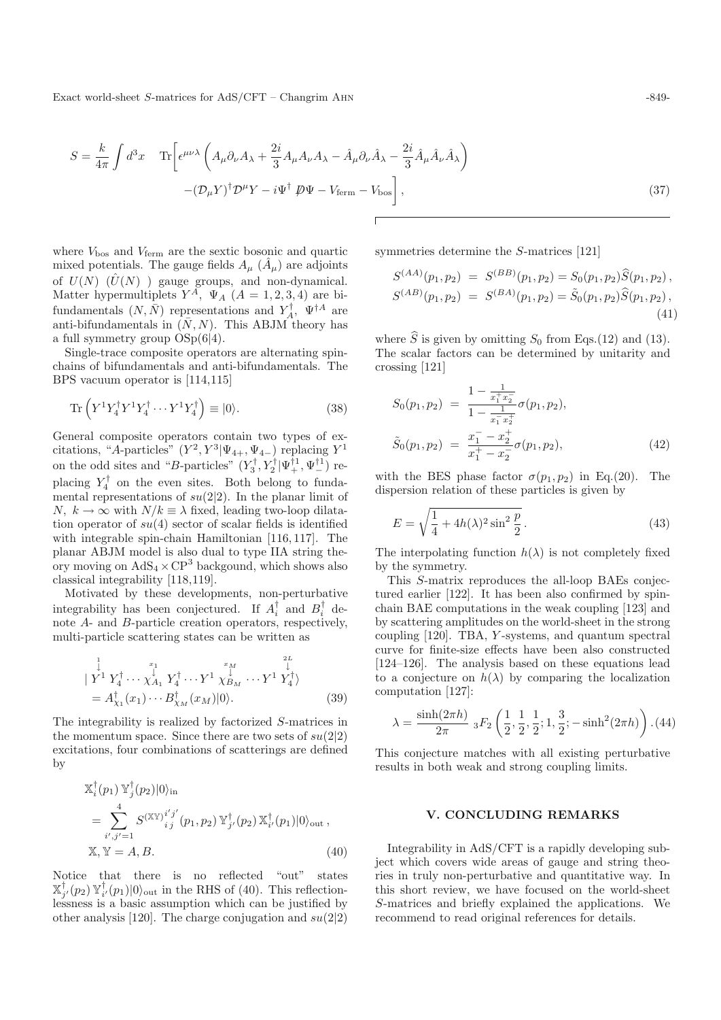Exact world-sheet S-matrices for AdS/CFT – Changrim AHN  $-849-$ 

$$
S = \frac{k}{4\pi} \int d^3x \quad \text{Tr}\left[\epsilon^{\mu\nu\lambda} \left(A_{\mu}\partial_{\nu}A_{\lambda} + \frac{2i}{3}A_{\mu}A_{\nu}A_{\lambda} - \hat{A}_{\mu}\partial_{\nu}\hat{A}_{\lambda} - \frac{2i}{3}\hat{A}_{\mu}\hat{A}_{\nu}\hat{A}_{\lambda}\right) \right]
$$

$$
-(\mathcal{D}_{\mu}Y)^{\dagger}\mathcal{D}^{\mu}Y - i\Psi^{\dagger}\mathcal{D}\Psi - V_{\text{ferm}} - V_{\text{bos}}\right],
$$
(37)

where  $V_{\text{bos}}$  and  $V_{\text{ferm}}$  are the sextic bosonic and quartic mixed potentials. The gauge fields  $A_{\mu}$  ( $\ddot{A}_{\mu}$ ) are adjoints of  $U(N)$   $(\hat{U}(N))$  gauge groups, and non-dynamical. Matter hypermultiplets  $Y^A$ ,  $\Psi_A$  ( $A = 1, 2, 3, 4$ ) are bifundamentals  $(N, \bar{N})$  representations and  $Y_A^{\dagger}$ ,  $\Psi^{\dagger A}$  are<br>anti-hifundamentals in  $(\bar{N}, N)$ . This ARIM theory has anti-bifundamentals in  $(N, N)$ . This ABJM theory has a full symmetry group OSp(6|4).

Single-trace composite operators are alternating spinchains of bifundamentals and anti-bifundamentals. The BPS vacuum operator is [114,115]

$$
\operatorname{Tr}\left(Y^1 Y_4^\dagger Y^1 Y_4^\dagger \cdots Y^1 Y_4^\dagger\right) \equiv |0\rangle. \tag{38}
$$

General composite operators contain two types of excitations, "A-particles"  $(Y^2, Y^3 | \Psi_{4+}, \Psi_{4-})$  replacing  $Y^1$ on the odd sites and "B-particles"  $(Y_3^{\dagger}, Y_2^{\dagger} | \Psi_+^{\dagger 1}, \Psi_-^{\dagger 1})$  replacing  $Y_4^{\dagger}$  on the even sites. Both belong to fundamental representations of  $su(2|2)$ . In the planar limit of  $N, k \to \infty$  with  $N/k \equiv \lambda$  fixed, leading two-loop dilatation operator of  $su(4)$  sector of scalar fields is identified with integrable spin-chain Hamiltonian [116, 117]. The planar ABJM model is also dual to type IIA string theory moving on  $AdS_4 \times CP^3$  backgound, which shows also classical integrability [118,119].

Motivated by these developments, non-perturbative integrability has been conjectured. If  $A_i^{\dagger}$  and  $B_i^{\dagger}$  denote  $A_i$  and B-particle creation operators respectively note A- and B-particle creation operators, respectively, multi-particle scattering states can be written as

$$
\begin{aligned}\n &\downarrow^1_{\mathbf{Y}^1} Y_4^{\dagger} \cdots \updownarrow^{\mathbf{x}_1}_{\mathbf{X}_{A_1}} Y_4^{\dagger} \cdots Y^1 \updownarrow^{\mathbf{x}_M}_{\mathbf{X}_{B_M}} \cdots Y^1 Y_4^{\dagger} \\
 &= A_{\chi_1}^{\dagger}(x_1) \cdots B_{\chi_M}^{\dagger}(x_M)|0\rangle. \n\end{aligned} \tag{39}
$$

The integrability is realized by factorized S-matrices in the momentum space. Since there are two sets of  $su(2|2)$ excitations, four combinations of scatterings are defined by

$$
\mathbb{X}_{i}^{\dagger}(p_{1}) \mathbb{Y}_{j}^{\dagger}(p_{2})|0\rangle_{\text{in}}
$$
\n
$$
= \sum_{i',j'=1}^{4} S^{(\mathbb{X}\mathbb{Y})_{i}^{i'j'}}(p_{1},p_{2}) \mathbb{Y}_{j'}^{\dagger}(p_{2}) \mathbb{X}_{i'}^{\dagger}(p_{1})|0\rangle_{\text{out}},
$$
\n
$$
\mathbb{X}, \mathbb{Y} = A, B.
$$
\n(40)

Notice that there is no reflected "out" states  $\mathbb{X}_{j'}^{\dagger}(p_2) \mathbb{Y}_{i'}^{\dagger}(p_1)|0\rangle_{\text{out}}$  in the RHS of (40). This reflection- $\lim_{x \to f'(P_1) \to f''(P_1)}$  is a basic assumption which can be justified by other analysis [120]. The charge conjugation and  $su(2|2)$ 

symmetries determine the S-matrices [121]

$$
S^{(AA)}(p_1, p_2) = S^{(BB)}(p_1, p_2) = S_0(p_1, p_2) \widehat{S}(p_1, p_2),
$$
  
\n
$$
S^{(AB)}(p_1, p_2) = S^{(BA)}(p_1, p_2) = \widetilde{S}_0(p_1, p_2) \widehat{S}(p_1, p_2),
$$
\n(41)

where  $\hat{S}$  is given by omitting  $S_0$  from Eqs.(12) and (13). The scalar factors can be determined by unitarity and crossing [121]

$$
S_0(p_1, p_2) = \frac{1 - \frac{1}{x_1^+ x_2^-}}{1 - \frac{1}{x_1^- x_2^+}} \sigma(p_1, p_2),
$$
  
\n
$$
\tilde{S}_0(p_1, p_2) = \frac{x_1^- - x_2^+}{x_1^+ - x_2^-} \sigma(p_1, p_2),
$$
\n(42)

with the BES phase factor  $\sigma(p_1, p_2)$  in Eq.(20). The dispersion relation of these particles is given by

$$
E = \sqrt{\frac{1}{4} + 4h(\lambda)^2 \sin^2 \frac{p}{2}}.
$$
\n(43)

The interpolating function  $h(\lambda)$  is not completely fixed by the symmetry.

This S-matrix reproduces the all-loop BAEs conjectured earlier [122]. It has been also confirmed by spinchain BAE computations in the weak coupling [123] and by scattering amplitudes on the world-sheet in the strong coupling [120]. TBA, Y -systems, and quantum spectral curve for finite-size effects have been also constructed [124–126]. The analysis based on these equations lead to a conjecture on  $h(\lambda)$  by comparing the localization computation [127]:

$$
\lambda = \frac{\sinh(2\pi h)}{2\pi} \; {}_3F_2\left(\frac{1}{2}, \frac{1}{2}, \frac{1}{2}; 1, \frac{3}{2}; -\sinh^2(2\pi h)\right). (44)
$$

This conjecture matches with all existing perturbative results in both weak and strong coupling limits.

## **V. CONCLUDING REMARKS**

Integrability in AdS/CFT is a rapidly developing subject which covers wide areas of gauge and string theories in truly non-perturbative and quantitative way. In this short review, we have focused on the world-sheet S-matrices and briefly explained the applications. We recommend to read original references for details.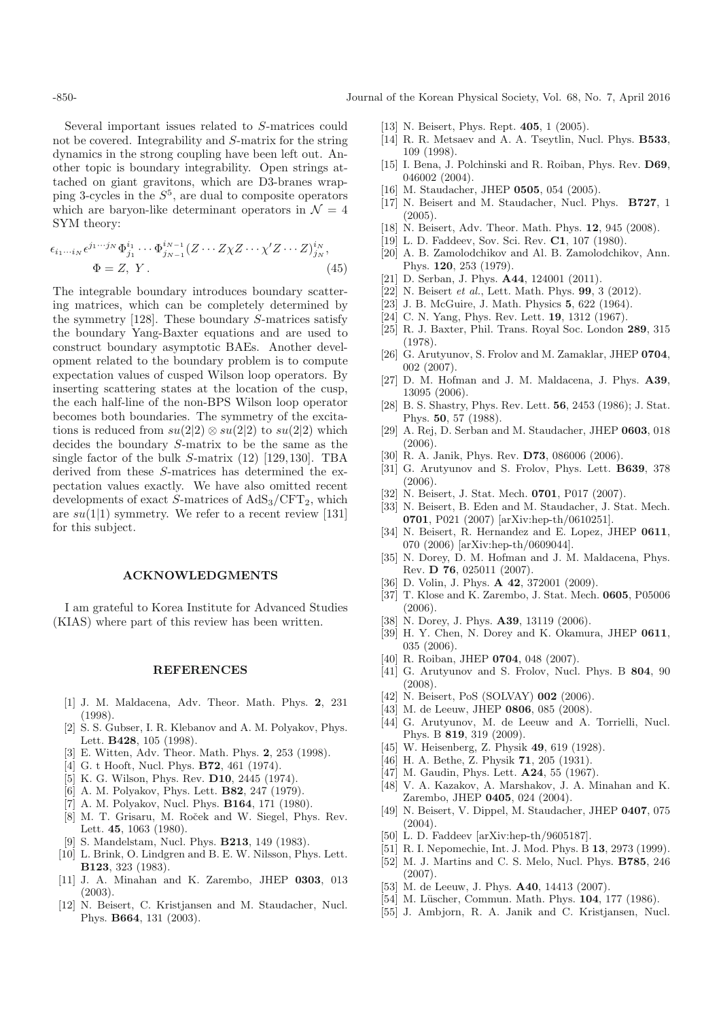Several important issues related to S-matrices could not be covered. Integrability and S-matrix for the string dynamics in the strong coupling have been left out. Another topic is boundary integrability. Open strings attached on giant gravitons, which are D3-branes wrapping 3-cycles in the  $S^5$ , are dual to composite operators which are baryon-like determinant operators in  $\mathcal{N} = 4$ SYM theory:

$$
\epsilon_{i_1\cdots i_N} \epsilon^{j_1\cdots j_N} \Phi^{i_1}_{j_1}\cdots \Phi^{i_{N-1}}_{j_{N-1}}(Z\cdots Z\chi Z\cdots \chi' Z\cdots Z)^{i_N}_{j_N},
$$
  
\n
$$
\Phi = Z, Y.
$$
\n(45)

The integrable boundary introduces boundary scattering matrices, which can be completely determined by the symmetry [128]. These boundary S-matrices satisfy the boundary Yang-Baxter equations and are used to construct boundary asymptotic BAEs. Another development related to the boundary problem is to compute expectation values of cusped Wilson loop operators. By inserting scattering states at the location of the cusp, the each half-line of the non-BPS Wilson loop operator becomes both boundaries. The symmetry of the excitations is reduced from  $su(2|2) \otimes su(2|2)$  to  $su(2|2)$  which decides the boundary S-matrix to be the same as the single factor of the bulk S-matrix (12) [129,130]. TBA derived from these S-matrices has determined the expectation values exactly. We have also omitted recent developments of exact S-matrices of  $AdS_3/CFT_2$ , which are  $su(1|1)$  symmetry. We refer to a recent review [131] for this subject.

# **ACKNOWLEDGMENTS**

I am grateful to Korea Institute for Advanced Studies (KIAS) where part of this review has been written.

### **REFERENCES**

- [1] J. M. Maldacena, Adv. Theor. Math. Phys. **2**, 231 (1998).
- [2] S. S. Gubser, I. R. Klebanov and A. M. Polyakov, Phys. Lett. **B428**, 105 (1998).
- [3] E. Witten, Adv. Theor. Math. Phys. **2**, 253 (1998).
- [4] G. t Hooft, Nucl. Phys. **B72**, 461 (1974).
- [5] K. G. Wilson, Phys. Rev. **D10**, 2445 (1974).
- [6] A. M. Polyakov, Phys. Lett. **B82**, 247 (1979).
- [7] A. M. Polyakov, Nucl. Phys. **B164**, 171 (1980).
- [8] M. T. Grisaru, M. Roček and W. Siegel, Phys. Rev. Lett. **45**, 1063 (1980).
- [9] S. Mandelstam, Nucl. Phys. **B213**, 149 (1983).
- [10] L. Brink, O. Lindgren and B. E. W. Nilsson, Phys. Lett. **B123**, 323 (1983).
- [11] J. A. Minahan and K. Zarembo, JHEP **0303**, 013 (2003).
- [12] N. Beisert, C. Kristjansen and M. Staudacher, Nucl. Phys. **B664**, 131 (2003).
- [13] N. Beisert, Phys. Rept. **405**, 1 (2005).
- [14] R. R. Metsaev and A. A. Tseytlin, Nucl. Phys. **B533**, 109 (1998).
- [15] I. Bena, J. Polchinski and R. Roiban, Phys. Rev. **D69**, 046002 (2004).
- [16] M. Staudacher, JHEP **0505**, 054 (2005).
- [17] N. Beisert and M. Staudacher, Nucl. Phys. **B727**, 1 (2005).
- [18] N. Beisert, Adv. Theor. Math. Phys. **12**, 945 (2008).
- [19] L. D. Faddeev, Sov. Sci. Rev. **C1**, 107 (1980).
- [20] A. B. Zamolodchikov and Al. B. Zamolodchikov, Ann. Phys. **120**, 253 (1979).
- [21] D. Serban, J. Phys. **A44**, 124001 (2011).
- [22] N. Beisert et al., Lett. Math. Phys. **99**, 3 (2012).
- [23] J. B. McGuire, J. Math. Physics **5**, 622 (1964).
- [24] C. N. Yang, Phys. Rev. Lett. **19**, 1312 (1967).
- [25] R. J. Baxter, Phil. Trans. Royal Soc. London **289**, 315 (1978).
- [26] G. Arutyunov, S. Frolov and M. Zamaklar, JHEP **0704**, 002 (2007).
- [27] D. M. Hofman and J. M. Maldacena, J. Phys. **A39**, 13095 (2006).
- [28] B. S. Shastry, Phys. Rev. Lett. **56**, 2453 (1986); J. Stat. Phys. **50**, 57 (1988).
- [29] A. Rej, D. Serban and M. Staudacher, JHEP **0603**, 018 (2006).
- [30] R. A. Janik, Phys. Rev. **D73**, 086006 (2006).
- [31] G. Arutyunov and S. Frolov, Phys. Lett. **B639**, 378 (2006).
- [32] N. Beisert, J. Stat. Mech. **0701**, P017 (2007).
- [33] N. Beisert, B. Eden and M. Staudacher, J. Stat. Mech. **0701**, P021 (2007) [arXiv:hep-th/0610251].
- [34] N. Beisert, R. Hernandez and E. Lopez, JHEP **0611**, 070 (2006) [arXiv:hep-th/0609044].
- [35] N. Dorey, D. M. Hofman and J. M. Maldacena, Phys. Rev. **D 76**, 025011 (2007).
- [36] D. Volin, J. Phys. **A 42**, 372001 (2009).
- [37] T. Klose and K. Zarembo, J. Stat. Mech. **0605**, P05006 (2006).
- [38] N. Dorey, J. Phys. **A39**, 13119 (2006).
- [39] H. Y. Chen, N. Dorey and K. Okamura, JHEP **0611**, 035 (2006).
- [40] R. Roiban, JHEP **0704**, 048 (2007).
- [41] G. Arutyunov and S. Frolov, Nucl. Phys. B **804**, 90 (2008).
- [42] N. Beisert, PoS (SOLVAY) **002** (2006).
- [43] M. de Leeuw, JHEP **0806**, 085 (2008).
- [44] G. Arutyunov, M. de Leeuw and A. Torrielli, Nucl. Phys. B **819**, 319 (2009).
- [45] W. Heisenberg, Z. Physik **49**, 619 (1928).
- [46] H. A. Bethe, Z. Physik **71**, 205 (1931).
- [47] M. Gaudin, Phys. Lett. **A24**, 55 (1967).
- [48] V. A. Kazakov, A. Marshakov, J. A. Minahan and K. Zarembo, JHEP **0405**, 024 (2004).
- [49] N. Beisert, V. Dippel, M. Staudacher, JHEP **0407**, 075 (2004).
- [50] L. D. Faddeev [arXiv:hep-th/9605187].
- [51] R. I. Nepomechie, Int. J. Mod. Phys. B **13**, 2973 (1999).
- [52] M. J. Martins and C. S. Melo, Nucl. Phys. **B785**, 246 (2007).
- [53] M. de Leeuw, J. Phys. **A40**, 14413 (2007).
- [54] M. Lüscher, Commun. Math. Phys. **104**, 177 (1986).
- [55] J. Ambjorn, R. A. Janik and C. Kristjansen, Nucl.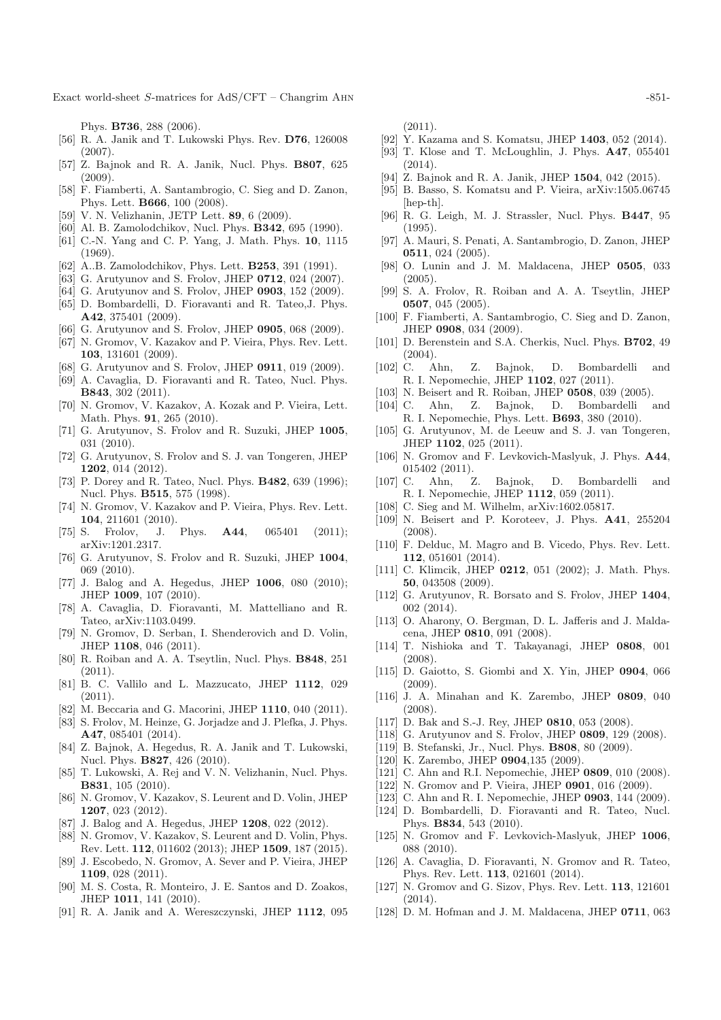Exact world-sheet S-matrices for AdS/CFT – Changrim AHN  $-851-$ 

Phys. **B736**, 288 (2006).

- [56] R. A. Janik and T. Lukowski Phys. Rev. **D76**, 126008 (2007).
- [57] Z. Bajnok and R. A. Janik, Nucl. Phys. **B807**, 625  $(2009)$ .
- [58] F. Fiamberti, A. Santambrogio, C. Sieg and D. Zanon, Phys. Lett. **B666**, 100 (2008).
- [59] V. N. Velizhanin, JETP Lett. **89**, 6 (2009).
- [60] Al. B. Zamolodchikov, Nucl. Phys. **B342**, 695 (1990).
- [61] C.-N. Yang and C. P. Yang, J. Math. Phys. **10**, 1115 (1969).
- [62] A..B. Zamolodchikov, Phys. Lett. **B253**, 391 (1991).
- [63] G. Arutyunov and S. Frolov, JHEP **0712**, 024 (2007).
- [64] G. Arutyunov and S. Frolov, JHEP **0903**, 152 (2009).
- [65] D. Bombardelli, D. Fioravanti and R. Tateo,J. Phys. **A42**, 375401 (2009).
- [66] G. Arutyunov and S. Frolov, JHEP **0905**, 068 (2009).
- [67] N. Gromov, V. Kazakov and P. Vieira, Phys. Rev. Lett. **103**, 131601 (2009).
- [68] G. Arutyunov and S. Frolov, JHEP **0911**, 019 (2009).
- [69] A. Cavaglia, D. Fioravanti and R. Tateo, Nucl. Phys. **B843**, 302 (2011).
- [70] N. Gromov, V. Kazakov, A. Kozak and P. Vieira, Lett. Math. Phys. **91**, 265 (2010).
- [71] G. Arutyunov, S. Frolov and R. Suzuki, JHEP **1005**, 031 (2010).
- [72] G. Arutyunov, S. Frolov and S. J. van Tongeren, JHEP **1202**, 014 (2012).
- [73] P. Dorey and R. Tateo, Nucl. Phys. **B482**, 639 (1996); Nucl. Phys. **B515**, 575 (1998).
- [74] N. Gromov, V. Kazakov and P. Vieira, Phys. Rev. Lett. **104**, 211601 (2010).
- [75] S. Frolov, J. Phys. **A44**, 065401 (2011); arXiv:1201.2317.
- [76] G. Arutyunov, S. Frolov and R. Suzuki, JHEP **1004**, 069 (2010).
- [77] J. Balog and A. Hegedus, JHEP **1006**, 080 (2010); JHEP **1009**, 107 (2010).
- [78] A. Cavaglia, D. Fioravanti, M. Mattelliano and R. Tateo, arXiv:1103.0499.
- [79] N. Gromov, D. Serban, I. Shenderovich and D. Volin, JHEP **1108**, 046 (2011).
- [80] R. Roiban and A. A. Tseytlin, Nucl. Phys. **B848**, 251  $(2011).$
- [81] B. C. Vallilo and L. Mazzucato, JHEP **1112**, 029 (2011).
- [82] M. Beccaria and G. Macorini, JHEP **1110**, 040 (2011).
- [83] S. Frolov, M. Heinze, G. Jorjadze and J. Plefka, J. Phys. **A47**, 085401 (2014).
- [84] Z. Bajnok, A. Hegedus, R. A. Janik and T. Lukowski, Nucl. Phys. **B827**, 426 (2010).
- [85] T. Lukowski, A. Rej and V. N. Velizhanin, Nucl. Phys. **B831**, 105 (2010).
- [86] N. Gromov, V. Kazakov, S. Leurent and D. Volin, JHEP **1207**, 023 (2012).
- [87] J. Balog and A. Hegedus, JHEP **1208**, 022 (2012).
- [88] N. Gromov, V. Kazakov, S. Leurent and D. Volin, Phys. Rev. Lett. **112**, 011602 (2013); JHEP **1509**, 187 (2015).
- [89] J. Escobedo, N. Gromov, A. Sever and P. Vieira, JHEP **1109**, 028 (2011).
- [90] M. S. Costa, R. Monteiro, J. E. Santos and D. Zoakos, JHEP **1011**, 141 (2010).
- [91] R. A. Janik and A. Wereszczynski, JHEP **1112**, 095

 $(2011).$ 

- [92] Y. Kazama and S. Komatsu, JHEP **1403**, 052 (2014).
- [93] T. Klose and T. McLoughlin, J. Phys. **A47**, 055401 (2014).
- [94] Z. Bajnok and R. A. Janik, JHEP **1504**, 042 (2015).
- [95] B. Basso, S. Komatsu and P. Vieira, arXiv:1505.06745 [hep-th].
- [96] R. G. Leigh, M. J. Strassler, Nucl. Phys. **B447**, 95 (1995).
- [97] A. Mauri, S. Penati, A. Santambrogio, D. Zanon, JHEP **0511**, 024 (2005).
- [98] O. Lunin and J. M. Maldacena, JHEP **0505**, 033 (2005).
- [99] S. A. Frolov, R. Roiban and A. A. Tseytlin, JHEP 0507, 045 (2005)
- [100] F. Fiamberti, A. Santambrogio, C. Sieg and D. Zanon, JHEP **0908**, 034 (2009).
- [101] D. Berenstein and S.A. Cherkis, Nucl. Phys. **B702**, 49  $(2004).$ [102] C. A
- [102] C. Ahn, Z. Bajnok, D. Bombardelli and R. I. Nepomechie, JHEP **1102**, 027 (2011).
- [103] N. Beisert and R. Roiban, JHEP **0508**, 039 (2005).
- [104] C. Ahn, Z. Bajnok, D. Bombardelli and R. I. Nepomechie, Phys. Lett. **B693**, 380 (2010).
- [105] G. Arutyunov, M. de Leeuw and S. J. van Tongeren, JHEP **1102**, 025 (2011).
- [106] N. Gromov and F. Levkovich-Maslyuk, J. Phys. **A44**, 015402 (2011).
- [107] C. Ahn, Z. Bajnok, D. Bombardelli and R. I. Nepomechie, JHEP **1112**, 059 (2011).
- [108] C. Sieg and M. Wilhelm,  $arXiv:1602.05817$ .
- [109] N. Beisert and P. Koroteev, J. Phys. **A41**, 255204 (2008).
- [110] F. Delduc, M. Magro and B. Vicedo, Phys. Rev. Lett. **112**, 051601 (2014).
- [111] C. Klimcik, JHEP **0212**, 051 (2002); J. Math. Phys. **50**, 043508 (2009).
- [112] G. Arutyunov, R. Borsato and S. Frolov, JHEP **1404**, 002 (2014).
- [113] O. Aharony, O. Bergman, D. L. Jafferis and J. Maldacena, JHEP **0810**, 091 (2008).
- [114] T. Nishioka and T. Takayanagi, JHEP **0808**, 001 (2008).
- [115] D. Gaiotto, S. Giombi and X. Yin, JHEP **0904**, 066 (2009).
- [116] J. A. Minahan and K. Zarembo, JHEP **0809**, 040 (2008).
- [117] D. Bak and S.-J. Rey, JHEP **0810**, 053 (2008).
- [118] G. Arutyunov and S. Frolov, JHEP **0809**, 129 (2008).
- [119] B. Stefanski, Jr., Nucl. Phys. **B808**, 80 (2009).
- [120] K. Zarembo, JHEP **0904**,135 (2009).
- [121] C. Ahn and R.I. Nepomechie, JHEP **0809**, 010 (2008).
- [122] N. Gromov and P. Vieira, JHEP **0901**, 016 (2009).
- [123] C. Ahn and R. I. Nepomechie, JHEP **0903**, 144 (2009).
- [124] D. Bombardelli, D. Fioravanti and R. Tateo, Nucl. Phys. **B834**, 543 (2010).
- [125] N. Gromov and F. Levkovich-Maslyuk, JHEP **1006**, 088 (2010).
- [126] A. Cavaglia, D. Fioravanti, N. Gromov and R. Tateo, Phys. Rev. Lett. **113**, 021601 (2014).
- [127] N. Gromov and G. Sizov, Phys. Rev. Lett. **113**, 121601  $(2014).$
- [128] D. M. Hofman and J. M. Maldacena, JHEP **0711**, 063